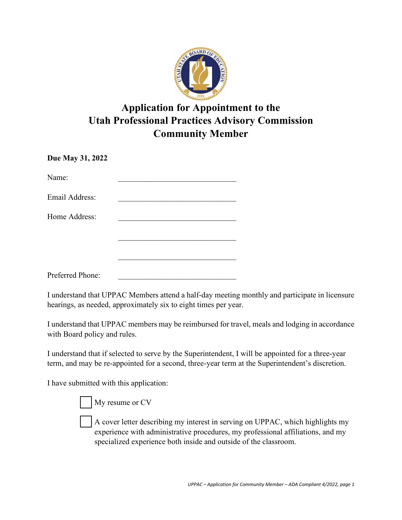

## **Application for Appointment to the Utah Professional Practices Advisory Commission Community Member**

| Due May 31, 2022 |  |
|------------------|--|
| Name:            |  |
| Email Address:   |  |
| Home Address:    |  |
|                  |  |
|                  |  |
| Preferred Phone: |  |

 I understand that UPPAC Members attend a half-day meeting monthly and participate in licensure hearings, as needed, approximately six to eight times per year.

I understand that UPPAC members may be reimbursed for travel, meals and lodging in accordance with Board policy and rules.

I understand that if selected to serve by the Superintendent, I will be appointed for a three-year term, and may be re-appointed for a second, three-year term at the Superintendent's discretion.

I have submitted with this application:

My resume or CV

A cover letter describing my interest in serving on UPPAC, which highlights my experience with administrative procedures, my professional affiliations, and my specialized experience both inside and outside of the classroom.